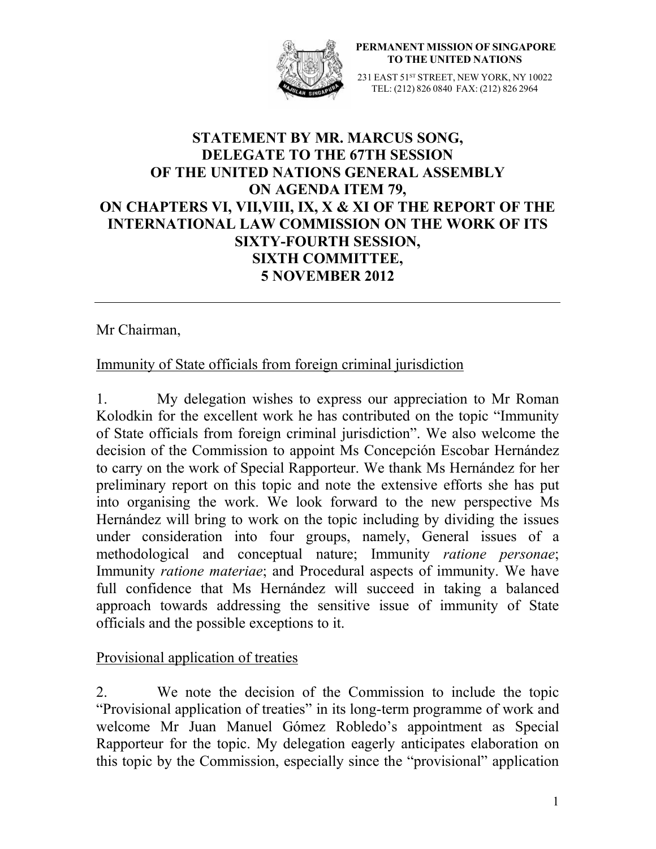

**PERMANENT MISSION OF SINGAPORE TO THE UNITED NATIONS**

231 EAST 51<sup>st</sup> STREET, NEW YORK, NY 10022 TEL: (212) 826 0840 FAX: (212) 826 2964

# **STATEMENT BY MR. MARCUS SONG, DELEGATE TO THE 67TH SESSION OF THE UNITED NATIONS GENERAL ASSEMBLY ON AGENDA ITEM 79, ON CHAPTERS VI, VII,VIII, IX, X & XI OF THE REPORT OF THE INTERNATIONAL LAW COMMISSION ON THE WORK OF ITS SIXTY-FOURTH SESSION, SIXTH COMMITTEE, 5 NOVEMBER 2012**

#### Mr Chairman,

### Immunity of State officials from foreign criminal jurisdiction

1. My delegation wishes to express our appreciation to Mr Roman Kolodkin for the excellent work he has contributed on the topic "Immunity of State officials from foreign criminal jurisdiction". We also welcome the decision of the Commission to appoint Ms Concepción Escobar Hernández to carry on the work of Special Rapporteur. We thank Ms Hernández for her preliminary report on this topic and note the extensive efforts she has put into organising the work. We look forward to the new perspective Ms Hernández will bring to work on the topic including by dividing the issues under consideration into four groups, namely, General issues of a methodological and conceptual nature; Immunity *ratione personae*; Immunity *ratione materiae*; and Procedural aspects of immunity. We have full confidence that Ms Hernández will succeed in taking a balanced approach towards addressing the sensitive issue of immunity of State officials and the possible exceptions to it.

### Provisional application of treaties

2. We note the decision of the Commission to include the topic "Provisional application of treaties" in its long-term programme of work and welcome Mr Juan Manuel Gómez Robledo's appointment as Special Rapporteur for the topic. My delegation eagerly anticipates elaboration on this topic by the Commission, especially since the "provisional" application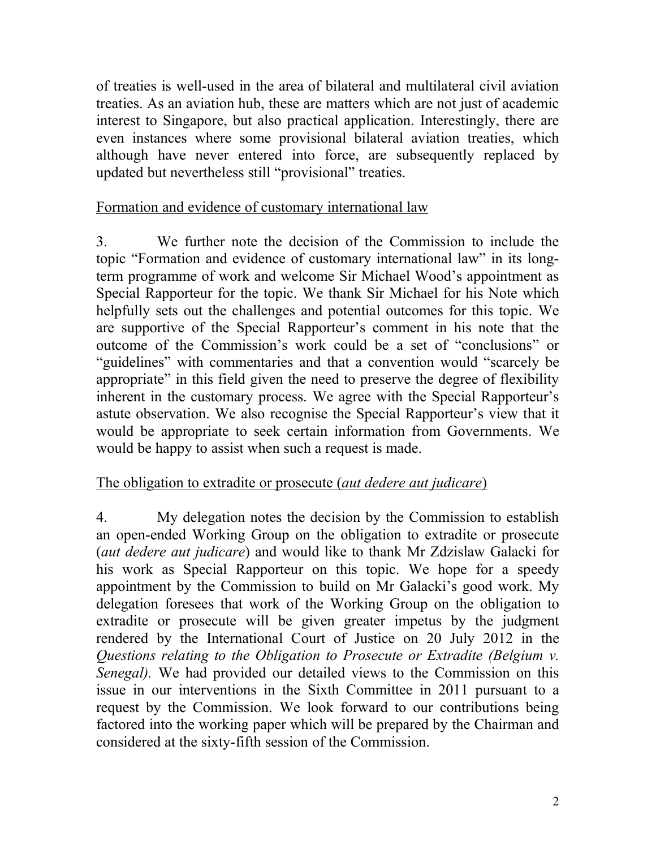of treaties is well-used in the area of bilateral and multilateral civil aviation treaties. As an aviation hub, these are matters which are not just of academic interest to Singapore, but also practical application. Interestingly, there are even instances where some provisional bilateral aviation treaties, which although have never entered into force, are subsequently replaced by updated but nevertheless still "provisional" treaties.

## Formation and evidence of customary international law

3. We further note the decision of the Commission to include the topic "Formation and evidence of customary international law" in its longterm programme of work and welcome Sir Michael Wood's appointment as Special Rapporteur for the topic. We thank Sir Michael for his Note which helpfully sets out the challenges and potential outcomes for this topic. We are supportive of the Special Rapporteur's comment in his note that the outcome of the Commission's work could be a set of "conclusions" or "guidelines" with commentaries and that a convention would "scarcely be appropriate" in this field given the need to preserve the degree of flexibility inherent in the customary process. We agree with the Special Rapporteur's astute observation. We also recognise the Special Rapporteur's view that it would be appropriate to seek certain information from Governments. We would be happy to assist when such a request is made.

## The obligation to extradite or prosecute (*aut dedere aut judicare*)

4. My delegation notes the decision by the Commission to establish an open-ended Working Group on the obligation to extradite or prosecute (*aut dedere aut judicare*) and would like to thank Mr Zdzislaw Galacki for his work as Special Rapporteur on this topic. We hope for a speedy appointment by the Commission to build on Mr Galacki's good work. My delegation foresees that work of the Working Group on the obligation to extradite or prosecute will be given greater impetus by the judgment rendered by the International Court of Justice on 20 July 2012 in the *Questions relating to the Obligation to Prosecute or Extradite (Belgium v. Senegal).* We had provided our detailed views to the Commission on this issue in our interventions in the Sixth Committee in 2011 pursuant to a request by the Commission. We look forward to our contributions being factored into the working paper which will be prepared by the Chairman and considered at the sixty-fifth session of the Commission.